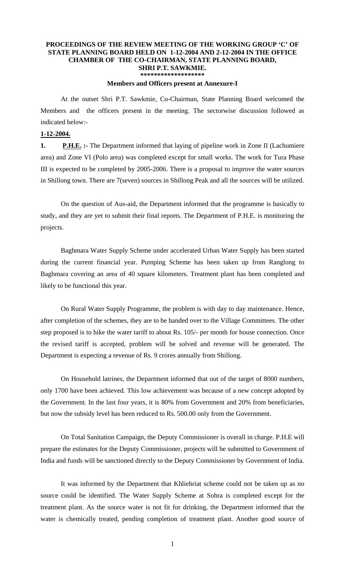## **PROCEEDINGS OF THE REVIEW MEETING OF THE WORKING GROUP 'C' OF STATE PLANNING BOARD HELD ON 1-12-2004 AND 2-12-2004 IN THE OFFICE CHAMBER OF THE CO-CHAIRMAN, STATE PLANNING BOARD, SHRI P.T. SAWKMIE. \*\*\*\*\*\*\*\*\*\*\*\*\*\*\*\*\*\*\***

## **Members and Officers present at Annexure-I**

 At the outset Shri P.T. Sawkmie, Co-Chairman, State Planning Board welcomed the Members and the officers present in the meeting. The sectorwise discussion followed as indicated below:-

## **1-12-2004.**

**1. P.H.E.** :- The Department informed that laying of pipeline work in Zone II (Lachumiere area) and Zone VI (Polo area) was completed except for small works. The work for Tura Phase III is expected to be completed by 2005-2006. There is a proposal to improve the water sources in Shillong town. There are 7(seven) sources in Shillong Peak and all the sources will be utilized.

 On the question of Aus-aid, the Department informed that the programme is basically to study, and they are yet to submit their final reports. The Department of P.H.E. is monitoring the projects.

 Baghmara Water Supply Scheme under accelerated Urban Water Supply has been started during the current financial year. Pumping Scheme has been taken up from Ranglong to Baghmara covering an area of 40 square kilometers. Treatment plant has been completed and likely to be functional this year.

On Rural Water Supply Programme, the problem is with day to day maintenance. Hence, after completion of the schemes, they are to be handed over to the Village Committees. The other step proposed is to hike the water tariff to about Rs. 105/- per month for house connection. Once the revised tariff is accepted, problem will be solved and revenue will be generated. The Department is expecting a revenue of Rs. 9 crores annually from Shillong.

On Household latrines, the Department informed that out of the target of 8000 numbers, only 1700 have been achieved. This low achievement was because of a new concept adopted by the Government. In the last four years, it is 80% from Government and 20% from beneficiaries, but now the subsidy level has been reduced to Rs. 500.00 only from the Government.

On Total Sanitation Campaign, the Deputy Commissioner is overall in charge. P.H.E will prepare the estimates for the Deputy Commissioner, projects will be submitted to Government of India and funds will be sanctioned directly to the Deputy Commissioner by Government of India.

It was informed by the Department that Khliehriat scheme could not be taken up as no source could be identified. The Water Supply Scheme at Sohra is completed except for the treatment plant. As the source water is not fit for drinking, the Department informed that the water is chemically treated, pending completion of treatment plant. Another good source of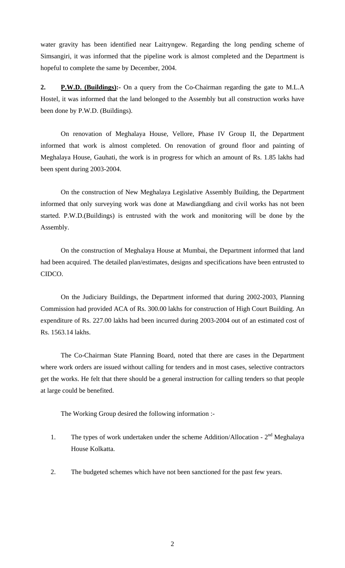water gravity has been identified near Laitryngew. Regarding the long pending scheme of Simsangiri, it was informed that the pipeline work is almost completed and the Department is hopeful to complete the same by December, 2004.

**2. P.W.D. (Buildings):-** On a query from the Co-Chairman regarding the gate to M.L.A Hostel, it was informed that the land belonged to the Assembly but all construction works have been done by P.W.D. (Buildings).

 On renovation of Meghalaya House, Vellore, Phase IV Group II, the Department informed that work is almost completed. On renovation of ground floor and painting of Meghalaya House, Gauhati, the work is in progress for which an amount of Rs. 1.85 lakhs had been spent during 2003-2004.

 On the construction of New Meghalaya Legislative Assembly Building, the Department informed that only surveying work was done at Mawdiangdiang and civil works has not been started. P.W.D.(Buildings) is entrusted with the work and monitoring will be done by the Assembly.

 On the construction of Meghalaya House at Mumbai, the Department informed that land had been acquired. The detailed plan/estimates, designs and specifications have been entrusted to CIDCO.

On the Judiciary Buildings, the Department informed that during 2002-2003, Planning Commission had provided ACA of Rs. 300.00 lakhs for construction of High Court Building. An expenditure of Rs. 227.00 lakhs had been incurred during 2003-2004 out of an estimated cost of Rs. 1563.14 lakhs.

 The Co-Chairman State Planning Board, noted that there are cases in the Department where work orders are issued without calling for tenders and in most cases, selective contractors get the works. He felt that there should be a general instruction for calling tenders so that people at large could be benefited.

The Working Group desired the following information :-

- 1. The types of work undertaken under the scheme Addition/Allocation  $2<sup>nd</sup>$  Meghalaya House Kolkatta.
- 2. The budgeted schemes which have not been sanctioned for the past few years.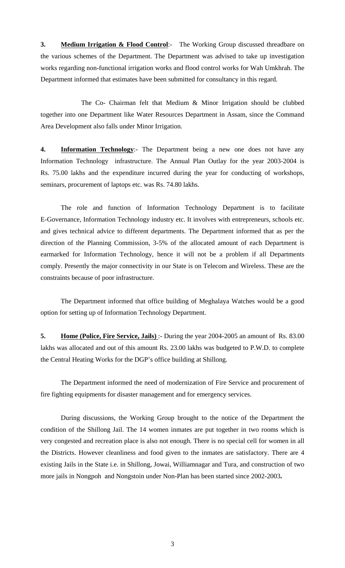**3. Medium Irrigation & Flood Control:** The Working Group discussed threadbare on the various schemes of the Department. The Department was advised to take up investigation works regarding non-functional irrigation works and flood control works for Wah Umkhrah. The Department informed that estimates have been submitted for consultancy in this regard.

 The Co- Chairman felt that Medium & Minor Irrigation should be clubbed together into one Department like Water Resources Department in Assam, since the Command Area Development also falls under Minor Irrigation.

**4. Information Technology**:- The Department being a new one does not have any Information Technology infrastructure. The Annual Plan Outlay for the year 2003-2004 is Rs. 75.00 lakhs and the expenditure incurred during the year for conducting of workshops, seminars, procurement of laptops etc. was Rs. 74.80 lakhs.

 The role and function of Information Technology Department is to facilitate E-Governance, Information Technology industry etc. It involves with entrepreneurs, schools etc. and gives technical advice to different departments. The Department informed that as per the direction of the Planning Commission, 3-5% of the allocated amount of each Department is earmarked for Information Technology, hence it will not be a problem if all Departments comply. Presently the major connectivity in our State is on Telecom and Wireless. These are the constraints because of poor infrastructure.

The Department informed that office building of Meghalaya Watches would be a good option for setting up of Information Technology Department.

**5. Home (Police, Fire Service, Jails)**: During the year 2004-2005 an amount of Rs. 83.00 lakhs was allocated and out of this amount Rs. 23.00 lakhs was budgeted to P.W.D. to complete the Central Heating Works for the DGP's office building at Shillong.

 The Department informed the need of modernization of Fire Service and procurement of fire fighting equipments for disaster management and for emergency services.

 During discussions, the Working Group brought to the notice of the Department the condition of the Shillong Jail. The 14 women inmates are put together in two rooms which is very congested and recreation place is also not enough. There is no special cell for women in all the Districts. However cleanliness and food given to the inmates are satisfactory. There are 4 existing Jails in the State i.e. in Shillong, Jowai, Williamnagar and Tura, and construction of two more jails in Nongpoh and Nongstoin under Non-Plan has been started since 2002-2003**.**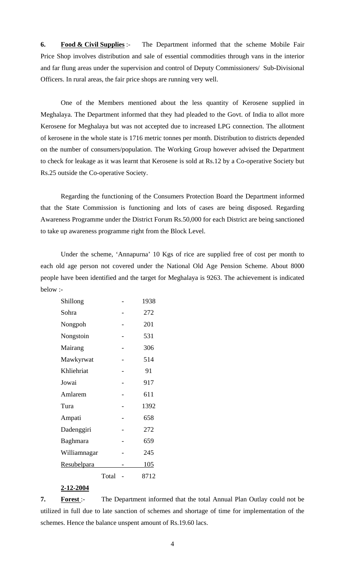**6.** Food & Civil Supplies :- The Department informed that the scheme Mobile Fair Price Shop involves distribution and sale of essential commodities through vans in the interior and far flung areas under the supervision and control of Deputy Commissioners/ Sub-Divisional Officers. In rural areas, the fair price shops are running very well.

 One of the Members mentioned about the less quantity of Kerosene supplied in Meghalaya. The Department informed that they had pleaded to the Govt. of India to allot more Kerosene for Meghalaya but was not accepted due to increased LPG connection. The allotment of kerosene in the whole state is 1716 metric tonnes per month. Distribution to districts depended on the number of consumers/population. The Working Group however advised the Department to check for leakage as it was learnt that Kerosene is sold at Rs.12 by a Co-operative Society but Rs.25 outside the Co-operative Society.

 Regarding the functioning of the Consumers Protection Board the Department informed that the State Commission is functioning and lots of cases are being disposed. Regarding Awareness Programme under the District Forum Rs.50,000 for each District are being sanctioned to take up awareness programme right from the Block Level.

 Under the scheme, 'Annapurna' 10 Kgs of rice are supplied free of cost per month to each old age person not covered under the National Old Age Pension Scheme. About 8000 people have been identified and the target for Meghalaya is 9263. The achievement is indicated below :-

| Shillong           |       | 1938 |
|--------------------|-------|------|
| Sohra              |       | 272  |
| Nongpoh            |       | 201  |
| Nongstoin          |       | 531  |
| Mairang            |       | 306  |
| Mawkyrwat          |       | 514  |
| Khliehriat         |       | 91   |
| Jowai              |       | 917  |
| Amlarem            |       | 611  |
| Tura               |       | 1392 |
| Ampati             |       | 658  |
| Dadenggiri         |       | 272  |
| Baghmara           |       | 659  |
| Williamnagar       |       | 245  |
| <u>Resubelpara</u> |       | 105  |
|                    | Total | 8712 |
|                    |       |      |

## **2-12-2004**

**7. Forest** :- The Department informed that the total Annual Plan Outlay could not be utilized in full due to late sanction of schemes and shortage of time for implementation of the schemes. Hence the balance unspent amount of Rs.19.60 lacs.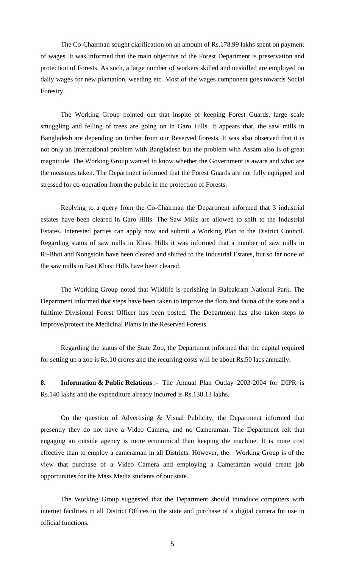The Co-Chairman sought clarification on an amount of Rs.178.99 lakhs spent on payment of wages. It was informed that the main objective of the Forest Department is preservation and protection of Forests. As such, a large number of workers skilled and unskilled are employed on daily wages for new plantation, weeding etc. Most of the wages component goes towards Social Forestry.

 The Working Group pointed out that inspite of keeping Forest Guards, large scale smuggling and felling of trees are going on in Garo Hills. It appears that, the saw mills in Bangladesh are depending on timber from our Reserved Forests. It was also observed that it is not only an international problem with Bangladesh but the problem with Assam also is of great magnitude. The Working Group wanted to know whether the Government is aware and what are the measures taken. The Department informed that the Forest Guards are not fully equipped and stressed for co-operation from the public in the protection of Forests.

 Replying to a query from the Co-Chairman the Department informed that 3 industrial estates have been cleared in Garo Hills. The Saw Mills are allowed to shift to the Industrial Estates. Interested parties can apply now and submit a Working Plan to the District Council. Regarding status of saw mills in Khasi Hills it was informed that a number of saw mills in Ri-Bhoi and Nongstoin have been cleared and shifted to the Industrial Estates, but so far none of the saw mills in East Khasi Hills have been cleared.

 The Working Group noted that Wildlife is perishing in Balpakram National Park. The Department informed that steps have been taken to improve the flora and fauna of the state and a fulltime Divisional Forest Officer has been posted. The Department has also taken steps to improve/protect the Medicinal Plants in the Reserved Forests.

 Regarding the status of the State Zoo, the Department informed that the capital required for setting up a zoo is Rs.10 crores and the recurring costs will be about Rs.50 lacs annually.

**8. Information & Public Relations** :- The Annual Plan Outlay 2003-2004 for DIPR is Rs.140 lakhs and the expenditure already incurred is Rs.138.13 lakhs.

 On the question of Advertising & Visual Publicity, the Department informed that presently they do not have a Video Camera, and no Cameraman. The Department felt that engaging an outside agency is more economical than keeping the machine. It is more cost effective than to employ a cameraman in all Districts. However, the Working Group is of the view that purchase of a Video Camera and employing a Cameraman would create job opportunities for the Mass Media students of our state.

 The Working Group suggested that the Department should introduce computers with internet facilities in all District Offices in the state and purchase of a digital camera for use in official functions.